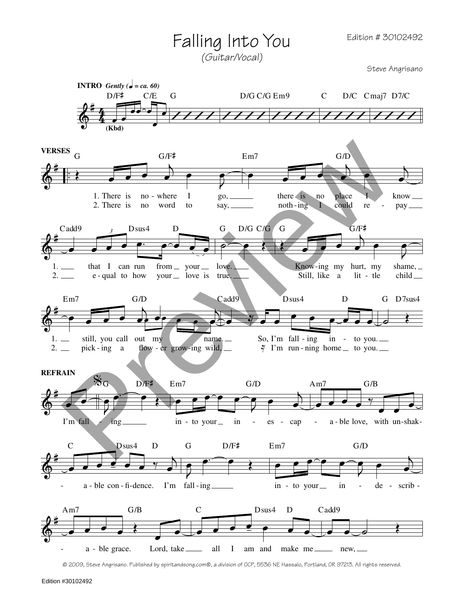## Falling Into You

(Guitar/Vocal)

Steve Angrisano



@ 2009, Steve Angrisano. Published by spiritandsong.com@, a division of OCP, 5536 NE Hassalo, Portland, OR 97213. All rights reserved.